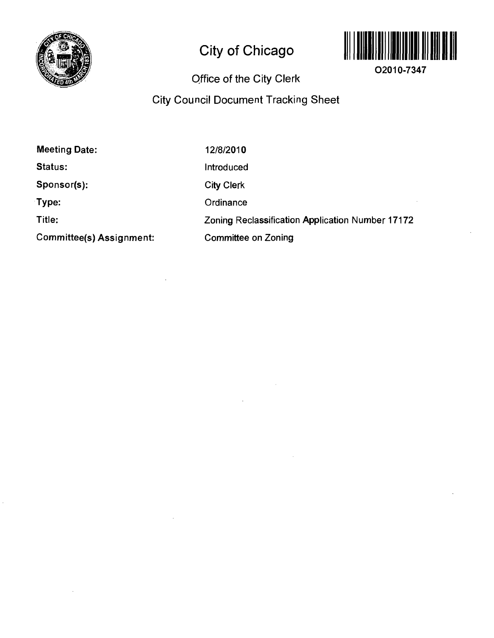

# **City of Chicago**



**02010-7347** 

# **Office of the City Clerl<**

# **City Council Document Tracking Sheet**

 $\mathcal{L}_{\mathcal{A}}$ 

| <b>Meeting Date:</b>     | 12/8/2010                                        |
|--------------------------|--------------------------------------------------|
| Status:                  | Introduced                                       |
| Sponsor(s):              | <b>City Clerk</b>                                |
| Type:                    | Ordinance                                        |
| Title:                   | Zoning Reclassification Application Number 17172 |
| Committee(s) Assignment: | <b>Committee on Zoning</b>                       |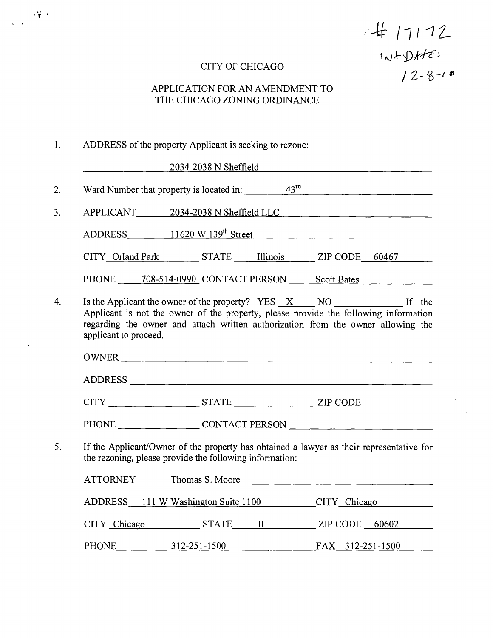# $4/7172$ <br> $10+0$ <br> $12-8-18$

### CITY OF CHICAGO

### APPLICATION FOR AN AMENDMENT TO THE CHICAGO ZONING ORDINANCE

### 1. ADDRESS of the property Applicant is seeking to rezone:

 $\hat{\Sigma}$ 

 $\sim 200$ 

 $\mathbf{r}$ 

|                       | $2034 - 2038$ N Sheffield                                                                                                                                                |  |  |
|-----------------------|--------------------------------------------------------------------------------------------------------------------------------------------------------------------------|--|--|
|                       | Ward Number that property is located in: $\frac{43^{rd}}{12.5}$                                                                                                          |  |  |
|                       | APPLICANT 2034-2038 N Sheffield LLC                                                                                                                                      |  |  |
|                       | ADDRESS 11620 W 139 <sup>th</sup> Street 11620 W 139 <sup>th</sup> Street                                                                                                |  |  |
|                       | CITY_Orland Park _________ STATE ______ Illinois _______ ZIP CODE ___ 60467                                                                                              |  |  |
|                       | PHONE 708-514-0990 CONTACT PERSON Scott Bates                                                                                                                            |  |  |
| applicant to proceed. | Applicant is not the owner of the property, please provide the following information<br>regarding the owner and attach written authorization from the owner allowing the |  |  |
|                       | OWNER                                                                                                                                                                    |  |  |
|                       | ADDRESS                                                                                                                                                                  |  |  |
|                       | $CITY$ $STATE$ $ZIP$ $CODE$                                                                                                                                              |  |  |
|                       |                                                                                                                                                                          |  |  |
|                       | If the Applicant/Owner of the property has obtained a lawyer as their representative for<br>the rezoning, please provide the following information:                      |  |  |
|                       | ATTORNEY Thomas S. Moore                                                                                                                                                 |  |  |
|                       | ADDRESS 111 W Washington Suite 1100 CITY Chicago                                                                                                                         |  |  |
|                       | CITY Chicago STATE IL ZIP CODE 60602                                                                                                                                     |  |  |
|                       | PHONE 312-251-1500 FAX 312-251-1500                                                                                                                                      |  |  |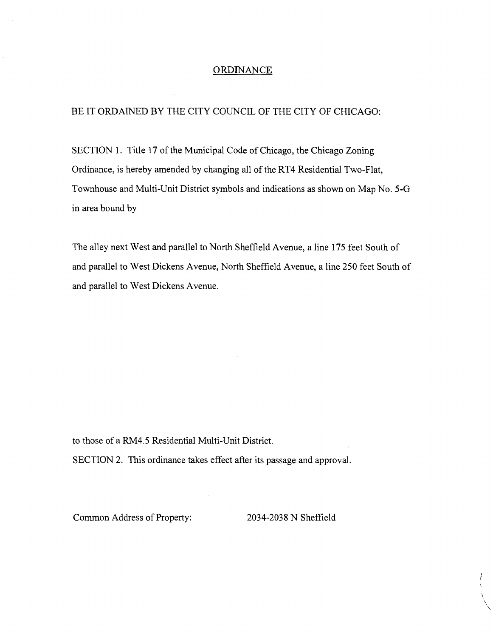### **ORDINANCE**

### BE IT ORDAINED BY THE CITY COUNCIL OF THE CITY OF CHICAGO:

SECTION 1. Title 17 of the Municipal Code of Chicago, the Chicago Zoning Ordinance, is hereby amended by changing all of the RT4 Residential Two-Flat, Townhouse and Multi-Unit District symbols and indications as shown on Map No. 5-G in area bound by

The alley next West and parallel to North Sheffield Avenue, a line 175 feet South of and parallel to West Dickens Avenue, North Sheffield Avenue, a line 250 feet South of and parallel to West Dickens Avenue.

to those of a RM4.5 Residential Multi-Unit District.

SECTION 2. This ordinance takes effect after its passage and approval.

Common Address of Property: 2034-2038 N Sheffield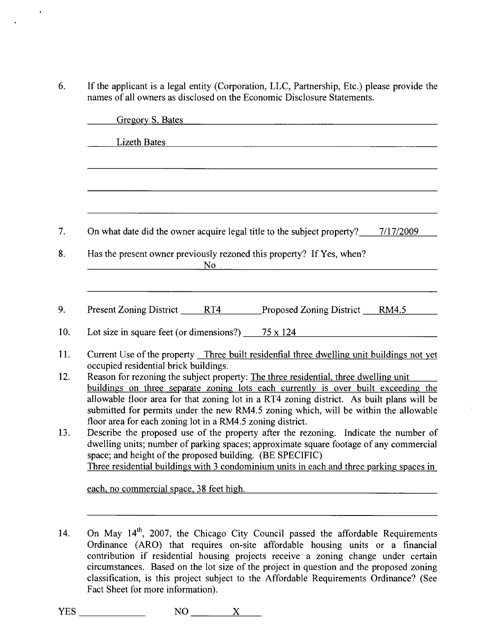6. If the applicant is a legal entity (Corporation, LLC, Partnership, Etc.) please provide the names of all owners as disclosed on the Economic Disclosure Statements.

| <b>Lizeth Bates</b>                                                                                                                                                        |           |                                                                                          |  |
|----------------------------------------------------------------------------------------------------------------------------------------------------------------------------|-----------|------------------------------------------------------------------------------------------|--|
|                                                                                                                                                                            |           |                                                                                          |  |
|                                                                                                                                                                            |           |                                                                                          |  |
|                                                                                                                                                                            |           |                                                                                          |  |
|                                                                                                                                                                            |           |                                                                                          |  |
|                                                                                                                                                                            |           |                                                                                          |  |
| On what date did the owner acquire legal title to the subject property? 7/17/2009                                                                                          |           |                                                                                          |  |
| Has the present owner previously rezoned this property? If Yes, when?                                                                                                      |           |                                                                                          |  |
|                                                                                                                                                                            | <b>No</b> |                                                                                          |  |
|                                                                                                                                                                            |           |                                                                                          |  |
|                                                                                                                                                                            |           |                                                                                          |  |
| Present Zoning District RT4 Proposed Zoning District RM4.5                                                                                                                 |           |                                                                                          |  |
|                                                                                                                                                                            |           |                                                                                          |  |
| Lot size in square feet (or dimensions?) $75 \times 124$                                                                                                                   |           |                                                                                          |  |
| Current Use of the property Three built residential three dwelling unit buildings not yet                                                                                  |           |                                                                                          |  |
| occupied residential brick buildings.                                                                                                                                      |           |                                                                                          |  |
| Reason for rezoning the subject property: The three residential, three dwelling unit<br>buildings on three separate zoning lots each currently is over built exceeding the |           |                                                                                          |  |
| allowable floor area for that zoning lot in a RT4 zoning district. As built plans will be                                                                                  |           |                                                                                          |  |
| submitted for permits under the new RM4.5 zoning which, will be within the allowable                                                                                       |           |                                                                                          |  |
| floor area for each zoning lot in a RM4.5 zoning district.                                                                                                                 |           |                                                                                          |  |
| Describe the proposed use of the property after the rezoning. Indicate the number of                                                                                       |           |                                                                                          |  |
| dwelling units; number of parking spaces; approximate square footage of any commercial                                                                                     |           |                                                                                          |  |
| space; and height of the proposed building. (BE SPECIFIC)                                                                                                                  |           |                                                                                          |  |
|                                                                                                                                                                            |           | Three residential buildings with 3 condominium units in each and three parking spaces in |  |

14. On May  $14<sup>th</sup>$ , 2007, the Chicago City Council passed the affordable Requirements Ordinance (ARO) that requires on-site affordable housing units or a financial contribution if residential housing projects receive a zoning change under certain circumstances. Based on the lot size of the project in question and the proposed zoning classification, is this project subject to the Affordable Requirements Ordinance? (See Fact Sheet for more information).

 $YES$  NO  $X$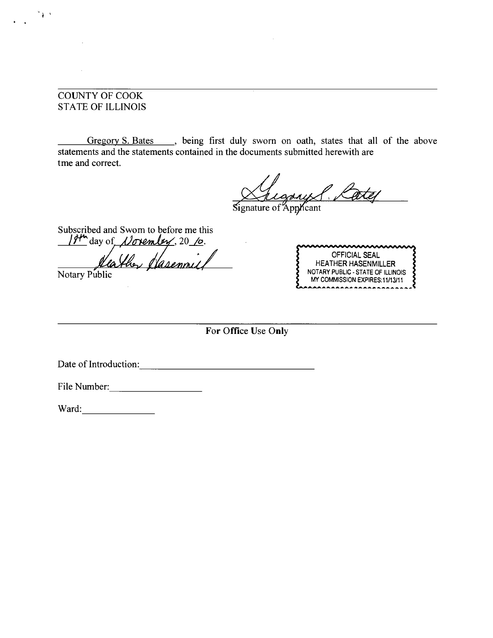### COUNTY OF COOK STATE OF ILLINOIS

 $\mathbf{r}$ 

Gregory S. Bates \_\_\_, being first duly sworn on oath, states that all of the above statements and the statements contained in the documents submitted herewith are tme and correct.

Signature of Applicant

Subscribed and Swom to before me this

 $194^{\circ}$  day of *November*, 20 %. Heather Hasennie

Notary Public

OFFICIAL SEAL HEATHER HASENMILLER NOTARY PUBLIC - STATE OF ILLINOIS MY COMMISSION EXPIRES: 11/13/11

**For Office Use Only** 

Date of Introduction: New York Changes and Security Changes and Security Changes and Security Changes and Security Changes and Security Changes and Security Changes and Security Changes and Security Changes and Security Ch

File Number: 1988

Ward: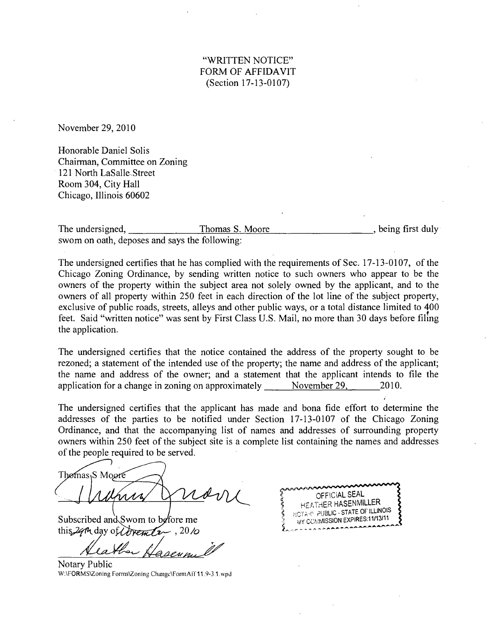### "WRITTEN NOTICE" FORM OF AFFIDAVIT (Section 17-13-0107)

November 29, 2010

Honorable Daniel Solis Chairman, Committee on Zoning 121 North LaSalle Street Room 304, City Hall Chicago, Illinois 60602

The undersigned, Thomas S. Moore swom on oath, deposes and says the following: , being first duly

The undersigned certifies that he has complied with the requirements of Sec. 17-13-0107, of the Chicago Zoning Ordinance, by sending written notice to such owners who appear to be the owners of the property within the subject area not solely owned by the applicant, and to the owners of all property within 250 feet in each direction of the lot line of the subject property, exclusive of public roads, streets, alleys and other public ways, or a total distance limited to 400 feet. Said "written notice" was sent by First Class U.S. Mail, no more than 30 days before filing the application.

The undersigned certifies that the notice contained the address of the property sought to be rezoned; a statement of the intended use of the property; the name and address of the applicant; the name and address of the owner; and a statement that the applicant intends to file the application for a change in zoning on approximately  $N$  November 29, 2010.

The undersigned certifies that the applicant has made and bona fide effort to determine the addresses of the parties to be notified under Section 17-13-0107 of the Chicago Zoning Ordinance, and that the accompanying list of names and addresses of surrounding property owners within 250 feet of the subject site is a complete list containing the names and addresses of the people required to be served.

Thomas<sub>1</sub>S Moore

*Subscribed and Swom to before me* this 29th day of *Inversely*. 20*/o* 

Notary Public W;\FORMS\Zoning Forms\Zoning Change\FormAil 11.9-3.1 wpd

OFFiCiAL SEAL HEATHER HASENMILLER PUBLIC-STATE OF ILLINOIS MY COMMISSION EXPIRES:11/13/11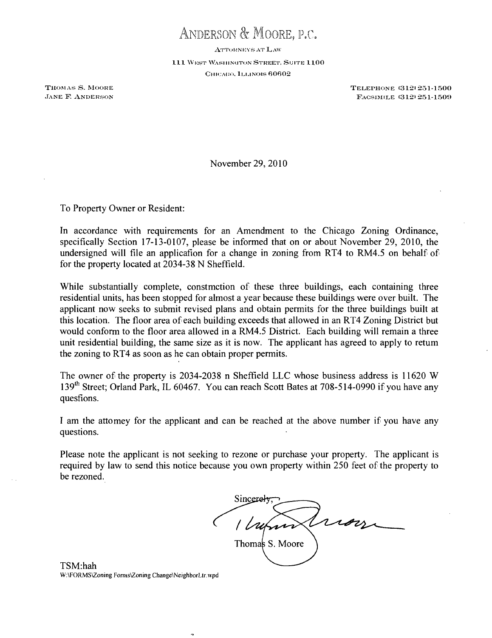ANDERSON & MOORE, P,C,

ATTORNEYS AT LAW

111 WEST WASHINGTON STREET, SUITE 1100 CHICAGO, ILLINOIS 60602

THOMAS S. MOORE THOMAS S. MOORE **EXAMPLE ANDERSON** FACSIMILE (312) 251-1509

November 29, 2010

To Property Owner or Resident:

In accordance with requirements for an Amendment to the Chicago Zoning Ordinance, specifically Section 17-13-0107, please be informed that on or about November 29, 2010, the undersigned will file an applicafion for a change in zoning from RT4 to RM4.5 on behalf of for the property located at 2034-38 N Sheffield.

While substantially complete, constmction of these three buildings, each containing three residential units, has been stopped for almost a year because these buildings were over built. The applicant now seeks to submit revised plans and obtain permits for the three buildings built at this location. The floor area of each building exceeds that allowed in an RT4 Zoning District but would conform to the floor area allowed in a RM4.5 District. Each building will remain a three unit residential building, the same size as it is now. The applicant has agreed to apply to retum the zoning to RT4 as soon as he can obtain proper permits.

The owner of the property is 2034-2038 n Sheffield LLC whose business address is 11620 W 139<sup>th</sup> Street; Orland Park, IL 60467. You can reach Scott Bates at 708-514-0990 if you have any quesfions.

I am the attomey for the applicant and can be reached at the above number if you have any questions.

Please note the applicant is not seeking to rezone or purchase your property. The applicant is required by law to send this notice because you own property within 250 feet of the property to be rezoned.

Sincerel roy Thomas S. Moore

TSM:hah W.\FORMS\Zoning Fomis\Zoning Change\NeighborLtr.\vpd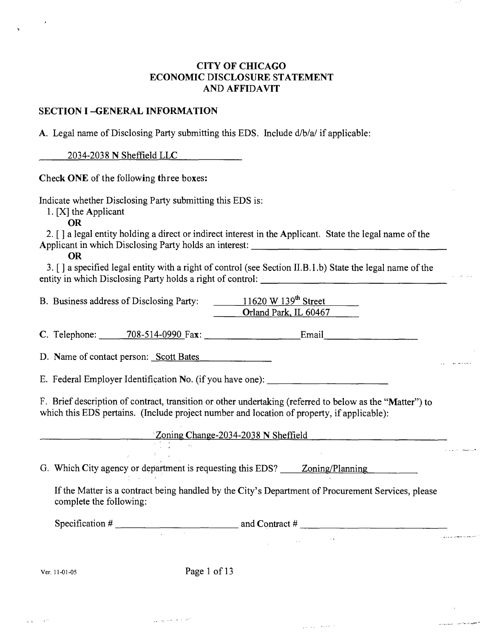### **CITY OF CHICAGO ECONOMIC DISCLOSURE STATEMENT AND AFFIDAVIT**

### **SECTION I -GENERAL INFORMATION**

A. Legal name of Disclosing Party submitting this EDS. Include d/b/a/ if applicable:

2034-2038 N Sheffield LLC

Check ONE of the following three boxes:

Indicate whether Disclosing Party submitting this EDS is:

1. [X] the Applicant

OR

2. [ ] a legal entity holding a direct or indirect interest in the Applicant. State the legal name of the Applicant in which Disclosing Party holds an interest:

OR

3. [ ] a specified legal entity with a right of control (see Section II.B.l .b) State the legal name of the entity in which Disclosing Party holds a right of control: <u> 1950 - Johann John Stone, mars et al. (b. 1950)</u>

B. Business address of Disclosing Party: 11620 W 139<sup>th</sup> Street Oriand Park. IL 60467

C. Telephone: 708-514-0990 Fax: Email.

D. Name of contact person: Scott Bates

E. Federal Employer Identification No. (if you have one):

 $\mathcal{L}^{\mathcal{L}}(\mathcal{L}^{\mathcal{L}})$  and  $\mathcal{L}^{\mathcal{L}}(\mathcal{L}^{\mathcal{L}})$ 

F. Brief description of contract, transition or other undertaking (referted to below as the "Matter") to which this EDS pertains. (Include project number and location of property, if applicable):

Zoning Change-2034-2038 N Sheffield

G. Which City agency or department is requesting this EDS? Zoning/Planning

If the Matter is a contract being handled by the City's Department of Procurement Services, please complete the following:

Specification # and Contract #

Ver. 11-01-05 Page 1 of 13

 $\frac{1}{2} \frac{1}{2} \frac{1}{2} \frac{1}{2}$ 

والمورود والمساجد والمراد

a ancient contract semi-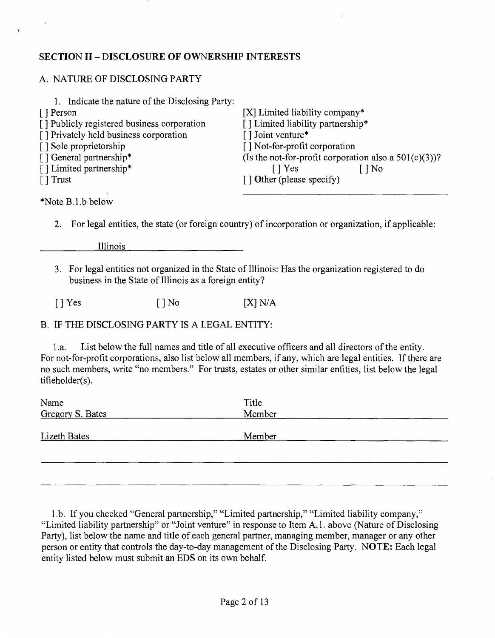### **SECTION II - DISCLOSURE OF OWNERSHIP INTERESTS**

### A. NATURE OF DISCLOSING PARTY

| 1. Indicate the nature of the Disclosing Party: |                                                          |
|-------------------------------------------------|----------------------------------------------------------|
| [ ] Person                                      | [X] Limited liability company*                           |
| [] Publicly registered business corporation     | [ ] Limited liability partnership*                       |
| [] Privately held business corporation          | [ ] Joint venture*                                       |
| [ ] Sole proprietorship                         | [] Not-for-profit corporation                            |
| [] General partnership*                         | (Is the not-for-profit corporation also a $501(c)(3)$ )? |
| [] Limited partnership*                         | $\lceil \cdot \rceil$ Yes<br>$\log$                      |
| $\lceil$ Trust                                  | $\lceil$ Other (please specify)                          |
|                                                 |                                                          |

\*Note B.l.b below

2. For legal entities, the state (or foreign country) of incorporation or organization, if applicable:

Illinois

3. For legal entities not organized in the State of Illinois: Has the organization registered to do business in the State of Illinois as a foreign entity?

 $[$  ] Yes  $[$   $]$  No  $[$   $X]$  N/A

### B. IF THE DISCLOSING PARTY IS A LEGAL ENTITY:

1 .a. List below the full names and title of all executive officers and all directors of the entity. For not-for-profit corporations, also list below all members, if any, which are legal entities. If there are no such members, write "no members." For trusts, estates or other similar enfities, list below the legal tifieholder(s).

| Name                | Title  |  |
|---------------------|--------|--|
| Gregory S. Bates    | Member |  |
| <b>Lizeth Bates</b> | Member |  |
|                     |        |  |
|                     |        |  |

1 .b. If you checked "General partnership," "Limited partnership," "Limited liability company," "Limited liability partnership" or "Joint venture" in response to Item A.l . above (Nature of Disclosing Party), list below the name and title of each general partner, managing member, manager or any other person or entity that controls the day-to-day management of the Disclosing Party. NOTE: Each legal entity listed below must submit an EDS on its own behalf.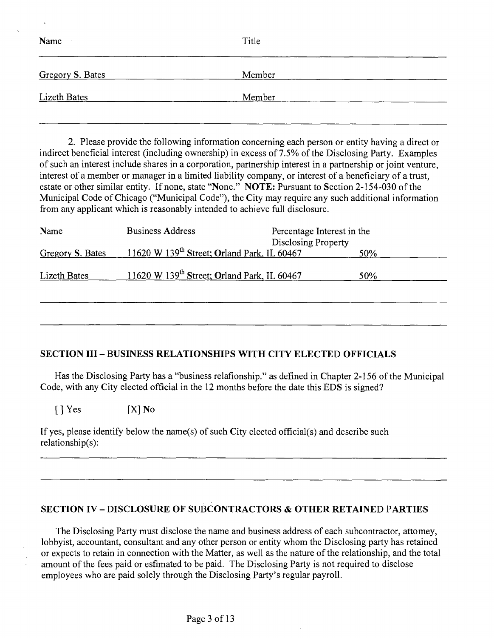| Name                | Title  |
|---------------------|--------|
| Gregory S. Bates    | Member |
| <b>Lizeth Bates</b> | Member |

2. Please provide the following information concerning each person or entity having a direct or indirect beneficial interest (including ownership) in excess of 7.5% of the Disclosing Party. Examples of such an interest include shares in a corporation, partnership interest in a partnership or joint venture, interest of a member or manager in a limited liability company, or interest of a beneficiary of a trust, estate or other similar entity. If none, state "None." NOTE: Pursuant to Section 2-154-030 of the Municipal Code of Chicago ("Municipal Code"), the City may require any such additional information from any applicant which is reasonably intended to achieve full disclosure.

| Name             | <b>Business Address</b>                                 | Percentage Interest in the<br><b>Disclosing Property</b> |            |
|------------------|---------------------------------------------------------|----------------------------------------------------------|------------|
| Gregory S. Bates | 11620 W 139 <sup>th</sup> Street; Orland Park, IL 60467 |                                                          | <b>50%</b> |
| Lizeth Bates     | 11620 W 139 <sup>th</sup> Street; Orland Park, IL 60467 |                                                          | 50%        |
|                  |                                                         |                                                          |            |
|                  |                                                         |                                                          |            |

### **SECTION III - BUSINESS RELATIONSHIPS WITH CITY ELECTED OFFICIALS**

Has the Disclosing Party has a "business relafionship." as defined in Chapter 2-156 of the Municipal Code, with any City elected official in the 12 months before the date this EDS is signed?

 $[ ] Yes$   $[ X ] No$ 

If yes, please identify below the name(s) of such City elected official(s) and describe such relationship(s):

### **SECTION IV - DISCLOSURE OF SUBCONTRACTORS & OTHER RETAINED PARTIES**

The Disclosing Party must disclose the name and business address of each subcontractor, attomey, lobbyist, accountant, consultant and any other person or entity whom the Disclosing party has retained or expects to retain in connection with the Matter, as well as the nature of the relationship, and the total amount of the fees paid or esfimated to be paid. The Disclosing Party is not required to disclose employees who are paid solely through the Disclosing Party's regular payroll.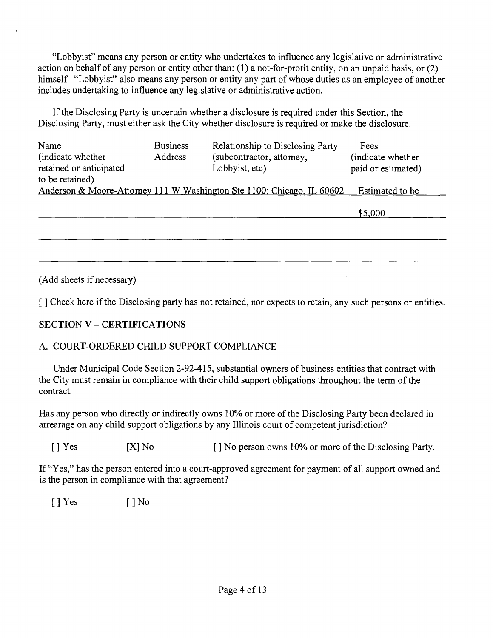"Lobbyist" means any person or entity who undertakes to influence any legislative or administrative action on behalf of any person or enfity other than: (1) a not-for-profit entity, on an unpaid basis, or (2) himself "Lobbyist" also means any person or entity any part of whose duties as an employee of another includes undertaking to influence any legislative or administrative action.

If the Disclosing Party is uncertain whether a disclosure is required under this Section, the Disclosing Party, must either ask the City whether disclosure is required or make the disclosure.

| Name<br>(indicate whether)<br>retained or anticipated<br>to be retained) | <b>Business</b><br>Address | Relationship to Disclosing Party<br>(subcontractor, attomey,<br>Lobbyist, etc) | Fees<br>(indicate whether).<br>paid or estimated) |
|--------------------------------------------------------------------------|----------------------------|--------------------------------------------------------------------------------|---------------------------------------------------|
|                                                                          |                            | Anderson & Moore-Attomey 111 W Washington Ste 1100; Chicago, IL 60602          | Estimated to be                                   |
|                                                                          |                            |                                                                                | \$5,000                                           |
|                                                                          |                            |                                                                                |                                                   |
|                                                                          |                            |                                                                                |                                                   |
|                                                                          |                            |                                                                                |                                                   |

(Add sheets if necessary)

[] Check here if the Disclosing party has not retained, nor expects to retain, any such persons or entities.

### **SECTION V - CERTIFICATIONS**

### A. COURT-ORDERED CHILD SUPPORT COMPLIANCE

Under Municipal Code Section 2-92-415, substantial owners of business entities that contract with the City must remain in compliance with their child support obligations throughout the term of the contract.

Has any person who directly or indirectly owns 10% or more of the Disclosing Party been declared in arrearage on any child support obligations by any Illinois court of competent jurisdiction?

[ ] Yes [X] No [ ] No person owns 10% or more of the Disclosing Party.

If "Yes," has the person entered into a court-approved agreement for payment of all support owned and is the person in compliance with that agreement?

 $[ ]$  Yes  $[ ]$  No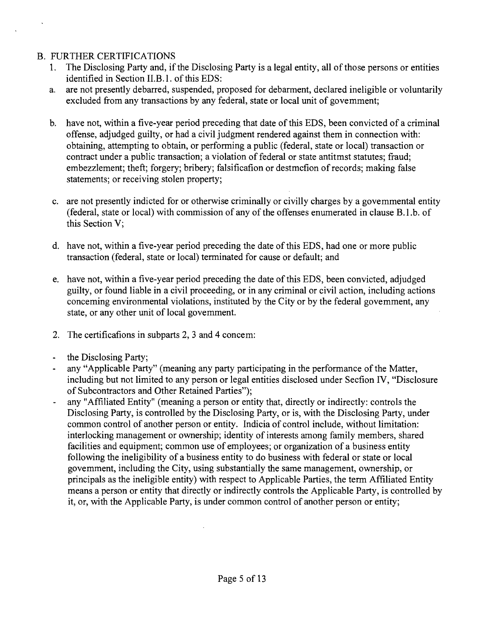### B. FURTHER CERTIFICATIONS

- 1. The Disclosing Party and, if the Disclosing Party is a legal entity, all of those persons or entities identified in Section II.B.1. of this EDS:
- a. are not presently debarred, suspended, proposed for debarment, declared ineligible or voluntarily excluded from any transactions by any federal, state or local unit of govemment;
- b. have not, within a five-year period preceding that date of this EDS, been convicted of a criminal offense, adjudged guilty, or had a civil judgment rendered against them in connection with: obtaining, attempting to obtain, or performing a public (federal, state or local) transaction or contract under a public transaction; a violation of federal or state antitmst statutes; fraud; embezzlement; theft; forgery; bribery; falsificafion or destmcfion of records; making false statements; or receiving stolen property;
- c. are not presently indicted for or otherwise criminally or civilly charges by a govemmental entity (federal, state or local) with commission of any of the offenses enumerated in clause B.l.b. of this Section V;
- d. have not, within a five-year period preceding the date of this EDS, had one or more public transaction (federal, state or local) terminated for cause or default; and
- e. have not, within a five-year period preceding the date of this EDS, been convicted, adjudged guilty, or found liable in a civil proceeding, or in any criminal or civil action, including actions conceming environmental violations, instituted by the City or by the federal govemment, any state, or any other unit of local govemment.
- 2. The certificafions in subparts 2, 3 and 4 concem:
- the Disclosing Party;
- any "Applicable Party" (meaning any party participating in the performance of the Matter, including but not limited to any person or legal entities disclosed under Secfion IV, "Disclosure of Subcontractors and Other Retained Parties");
- any "Affiliated Entity" (meaning a person or entity that, directly or indirectly: controls the  $\Box$ Disclosing Party, is controlled by the Disclosing Party, or is, with the Disclosing Party, under common control of another person or entity. Indicia of control include, without limitation: interlocking management or ownership; identity of interests among family members, shared facilities and equipment; common use of employees; or organization of a business entity following the ineligibility of a business entity to do business with federal or state or local govemment, including the City, using substantially the same management, ownership, or principals as the ineligible entity) with respect to Applicable Parties, the term Affiliated Entity means a person or entity that directly or indirectly controls the Applicable Party, is controlled by it, or, with the Applicable Party, is under common control of another person or entity;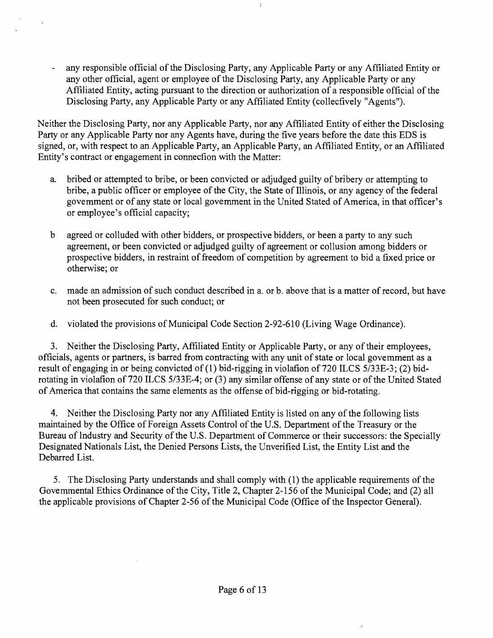any responsible official of the Disclosing Party, any Applicable Party or any Affiliated Entity or any other official, agent or employee of the Disclosing Party, any Applicable Party or any Affiliated Entity, acting pursuant to the direction or authorization of a responsible official of the Disclosing Party, any Applicable Party or any Affiliated Entity (collecfively "Agents").

 $\ddot{\phantom{a}}$ 

 $\ddot{\ddot{\mathrm{r}}}$ 

Neither the Disclosing Party, nor any Applicable Party, nor any Affiliated Entity of either the Disclosing Party or any Applicable Party nor any Agents have, during the five years before the date this EDS is signed, or, with respect to an Applicable Party, an Applicable Party, an Affiliated Entity, or an Affiliated Entity's contract or engagement in connecfion with the Matter:

- a. bribed or attempted to bribe, or been convicted or adjudged guilty of bribery or attempting to bribe, a public officer or employee of the City, the State of Illinois, or any agency of the federal govemment or of any state or local govemment in the United Stated of America, in that officer's or employee's official capacity;
- b agreed or colluded with other bidders, or prospective bidders, or been a party to any such agreement, or been convicted or adjudged guilty of agreement or collusion among bidders or prospective bidders, in restraint of freedom of competition by agreement to bid a fixed price or otherwise; or
- c. made an admission of such conduct described in a. or b. above that is a matter of record, but have not been prosecuted for such conduct; or
- d. violated the provisions of Municipal Code Section 2-92-610 (Living Wage Ordinance).

3. Neither the Disclosing Party, Affiliated Entity or Applicable Party, or any of their employees, officials, agents or partners, is barred from contracting with any unit of state or local govemment as a result of engaging in or being convicted of (1) bid-rigging in violafion of 720 ILCS 5/33E-3; (2) bidrotafing in violafion of 720 ILCS 5/33E-4; or (3) any similar offense of any state or of the United Stated of America that contains the same elements as the offense of bid-rigging or bid-rotating.

4. Neither the Disclosing Party nor any Affiliated Entity is listed on any of the following lists maintained by the Office of Foreign Assets Control of the U.S. Department of the Treasury or the Bureau of Industry and Security of the U.S. Department of Commerce or their successors: the Specially Designated Nationals List, the Denied Persons Lists, the Unverified List, the Entity List and the Debarred List.

5. The Disclosing Party understands and shall comply with (1) the applicable requirements of the Govemmental Ethics Ordinance of the City, Title 2, Chapter 2-156 of the Municipal Code; and (2) all the applicable provisions of Chapter 2-56 of the Municipal Code (Office of the Inspector General).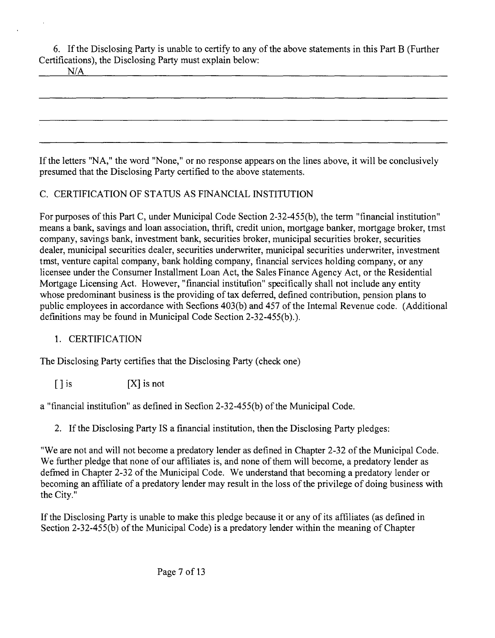6. Ifthe Disclosing Party is unable to certity to any ofthe above statements in this Part B (Further Certifications), the Disclosing Party must explain below:

If the letters "NA," the word "None," or no response appears on the lines above, it will be conclusively presumed that the Disclosing Party certified to the above statements.

## C. CERTIFICATION OF STATUS AS FINANCIAL INSTITUTION

For purposes of this Part C, under Municipal Code Section 2-32-455(b), the term "financial institution" means a bank, savings and loan association, thrift, credit union, mortgage banker, mortgage broker, tmst company, savings bank, investment bank, securities broker, municipal securities broker, securities dealer, municipal securities dealer, securities underwriter, municipal securities underwriter, investment tmst, venture capital company, bank holding company, financial services holding company, or any licensee under the Consumer Installment Loan Act, the Sales Finance Agency Act, or the Residential Mortgage Licensing Act. However, "financial institution" specifically shall not include any entity whose predominant business is the providing of tax deferred, defined contribution, pension plans to public employees in accordance with Secfions 403(b) and 457 of the Intemal Revenue code. (Additional definitions may be found in Municipal Code Section 2-32-455(b).).

### 1. CERTIFICATION

The Disclosing Party certifies that the Disclosing Party (check one)

 $[ ]$  is  $[ X ]$  is not

a "financial institufion" as defined in Secfion 2-32-455(b) of the Municipal Code.

2. If the Disclosing Party IS a financial instimtion, then the Disclosing Party pledges:

"We are not and will not become a predatory lender as defined in Chapter 2-32 of the Municipal Code. We further pledge that none of our affiliates is, and none of them will become, a predatory lender as defmed in Chapter 2-32 of the Municipal Code. We understand that becoming a predatory lender or becoming an affiliate of a predatory lender may result in the loss of the privilege of doing business with the City."

If the Disclosing Party is unable to make this pledge because it or any of its affiliates (as defined in Section 2-32-455(b) of the Municipal Code) is a predatory lender within the meaning of Chapter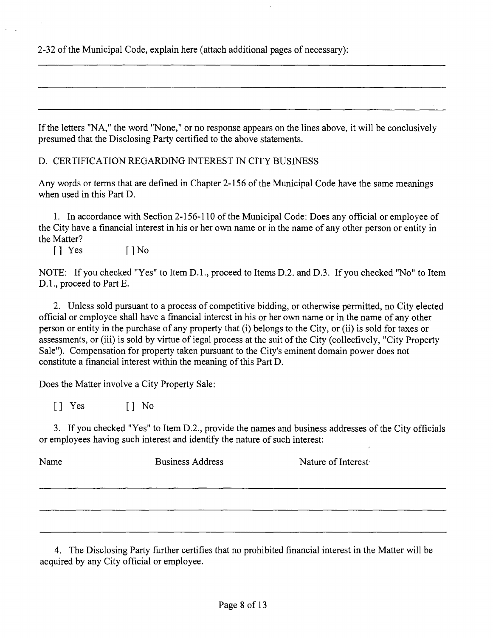2-32 of the Municipal Code, explain here (attach additional pages of necessary):

If the letters "NA," the word "None," or no response appears on the lines above, it will be conclusively presumed that the Disclosing Party certified to the above statements.

D. CERTIFICATION REGARDING INTEREST IN CITY BUSINESS

Any words or terms that are defined in Chapter 2-156 of the Municipal Code have the same meanings when used in this Part D.

1. In accordance with Secfion 2-156-110 of the Municipal Code: Does any official or employee of the City have a financial interest in his or her own name or in the name of any other person or entity in the Matter?

 $\begin{bmatrix} 1 & \text{Yes} \\ \end{bmatrix}$   $\begin{bmatrix} 1 & \text{No} \\ \end{bmatrix}$ 

NOTE: If you checked "Yes" to Item D.L, proceed to Items D.2. and D.3. If you checked "No" to Item D.1., proceed to Part E.

2. Unless sold pursuant to a process of competitive bidding, or otherwise permitted, no City elected official or employee shall have a fmancial interest in his or her own name or in the name of any other person or entity in the purchase of any property that (i) belongs to the City, or (ii) is sold for taxes or assessments, or (iii) is sold by virtue of iegal process at the suit of the City (collecfively, "City Property Sale"). Compensation for property taken pursuant to the City's eminent domain power does not constitute a financial interest within the meaning of this Part D.

Does the Matter involve a City Property Sale:

[] Yes [] No

3. If you checked "Yes" to Item D.2., provide the names and business addresses of the City officials or employees having such interest and identify the nature of such interest:

| Name | <b>Business Address</b> | Nature of Interest |
|------|-------------------------|--------------------|
|      |                         |                    |
|      |                         |                    |

4. The Disclosing Party fiarther certifies that no prohibited financial interest in the Matter will be acquired by any City official or employee.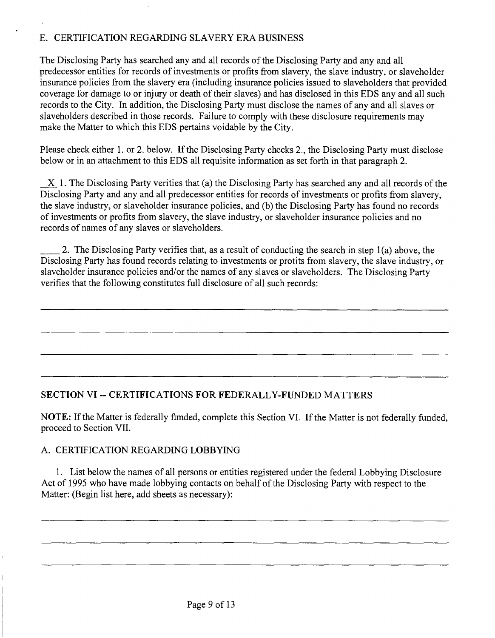### E. CERTIFICATION REGARDING SLAVERY ERA BUSINESS

The Disclosing Party has searched any and all records of the Disclosing Party and any and all predecessor entities for records of investments or profits from slavery, the slave industry, or slaveholder insurance policies from the slavery era (including insurance policies issued to slaveholders that provided coverage for damage to or injury or death of their slaves) and has disclosed in this EDS any and all such records to the City. In addition, the Disclosing Party must disclose the names of any and all slaves or slaveholders described in those records. Failure to comply with these disclosure requirements may make the Matter to which this EDS pertains voidable by the City.

Please check either 1. or 2. below. Ifthe Disclosing Party checks 2., the Disclosing Party must disclose below or in an attachment to this EDS all requisite information as set forth in that paragraph 2.

 $X$  1. The Disclosing Party verities that (a) the Disclosing Party has searched any and all records of the Disclosing Party and any and all predecessor entities for records of investments or profits from slavery, the slave industry, or slaveholder insurance policies, and (b) the Disclosing Party has found no records of investments or profits from slavery, the slave industry, or slaveholder insurance policies and no records of names of any slaves or slaveholders.

2. The Disclosing Party verifies that, as a result of conducting the search in step 1 (a) above, the Disclosing Party has found records relating to investments or profits from slavery, the slave industry, or slaveholder insurance policies and/or the names of any slaves or slaveholders. The Disclosing Party verifies that the following constitutes full disclosure of all such records:

### **SECTION VI ~ CERTIFICATIONS FOR FEDERALLY-FUNDED MATTERS**

NOTE: If the Matter is federally fimded, complete this Section VI. If the Matter is not federally funded, proceed to Section VII.

### A. CERTIFICATION REGARDING LOBBYING

1. List below the names of all persons or entities registered under the federal Lobbying Disclosure Act of 1995 who have made lobbying contacts on behalf of the Disclosing Party with respect to the Matter: (Begin list here, add sheets as necessary):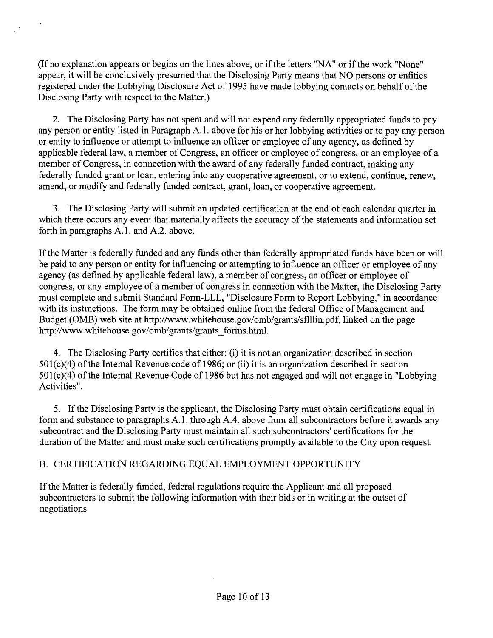(If no explanation appears or begins on the lines above, or if the letters "NA" or if the work "None" appear, it will be conclusively presumed that the Disclosing Party means that NO persons or enfities registered under the Lobbying Disclosure Act of 1995 have made lobbying contacts on behalf of the Disclosing Party with respect to the Matter.)

2. The Disclosing Party has not spent and will not expend any federally appropriated funds to pay any person or entity listed in Paragraph A.l . above for his or her lobbying activities or to pay any person or entity to influence or attempt to influence an officer or employee of any agency, as defined by applicable federal law, a member of Congress, an officer or employee of congress, or an employee of a member of Congress, in connection with the award of any federally funded contract, making any federally funded grant or loan, entering into any cooperative agreement, or to extend, continue, renew, amend, or modify and federally funded contract, grant, loan, or cooperative agreement.

3. The Disclosing Party will submit an updated certification at the end of each calendar quarter m which there occurs any event that materially affects the accuracy of the statements and information set forth in paragraphs A.1. and A.2. above.

If the Matter is federally funded and any funds other than federally appropriated funds have been or will be paid to any person or entity for influencing or attempting to influence an officer or employee of any agency (as defined by applicable federal law), a member of congress, an officer or employee of congress, or any employee of a member of congress in connection with the Matter, the Disclosing Party must complete and submit Standard Form-LLL, "Disclosure Form to Report Lobbying," in accordance with its instmctions. The form may be obtained online from the federal Office of Management and Budget (OMB) web site at http://www.whitehouse.gov/omb/grants/sflllin.pdf, linked on the page http://www.whitehouse.gov/omb/grants/grants\_forms.html.

4. The Disclosing Party certifies that either: (i) it is not an organization described in section  $501(c)(4)$  of the Intemal Revenue code of 1986; or (ii) it is an organization described in section  $501(c)(4)$  of the Intemal Revenue Code of 1986 but has not engaged and will not engage in "Lobbying" Activities".

5. If the Disclosing Party is the applicant, the Disclosing Party must obtain certifications equal in form and substance to paragraphs A.1. through A.4. above from all subcontractors before it awards any subcontract and the Disclosing Party must maintain all such subcontractors' certifications for the duration of the Matter and must make such certifications promptly available to the City upon request.

### B. CERTIFICATION REGARDING EQUAL EMPLOYMENT OPPORTUNITY

If the Matter is federally fimded, federal regulations require the Applicant and all proposed subcontractors to submit the following information with their bids or in writing at the outset of negotiations.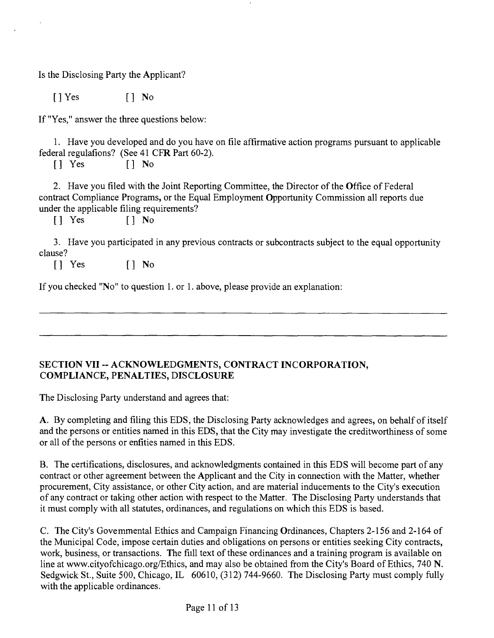Is the Disclosing Party the Applicant?

[]Yes [] No

If "Yes," answer the three questions below:

1. Have you developed and do you have on file affirmative action programs pursuant to applicable federal regulafions? (See 41 CFR Part 60-2).

[] Yes [] No

2. Have you filed with the Joint Reporting Committee, the Director of the Office of Federal contract Compliance Programs, or the Equal Employment Opportunity Commission all reports due under the applicable filing requirements?

[] Yes [] No

3. Have you participated in any previous contracts or subcontracts subject to the equal opportunity clause?

[] Yes [] No

If you checked "No" to question 1. or 1. above, please provide an explanation:

### **SECTION VII ~ ACKNOWLEDGMENTS, CONTRACT INCORPORATION, COMPLIANCE, PENALTIES, DISCLOSURE**

The Disclosing Party understand and agrees that:

A. By completing and filing this EDS, the Disclosing Party acknowledges and agrees, on behalf of itself and the persons or entities named in this EDS, that the City may investigate the creditworthiness of some or all of the persons or enfities named in this EDS.

B. The certifications, disclosures, and acknowledgments contained in this EDS will become part of any contract or other agreement between the Applicant and the City in connection with the Matter, whether procurement, City assistance, or other City action, and are material inducements to the City's execution of any contract or taking other action with respect to the Matter. The Disclosing Party understands that it must comply with all statutes, ordinances, and regulations on which this EDS is based.

C. The City's Govemmental Ethics and Campaign Financing Ordinances, Chapters 2-156 and 2-164 of the Municipal Code, impose certain duties and obligations on persons or entities seeking City contracts, work, business, or transactions. The fiill text of these ordinances and a training program is available on line at www.cityofchicago.org/Ethics, and may also be obtained from the City's Board of Ethics, 740 N. Sedgwick St., Suite 500, Chicago, IL 60610, (312) 744-9660. The Disclosing Party must comply fully with the applicable ordinances.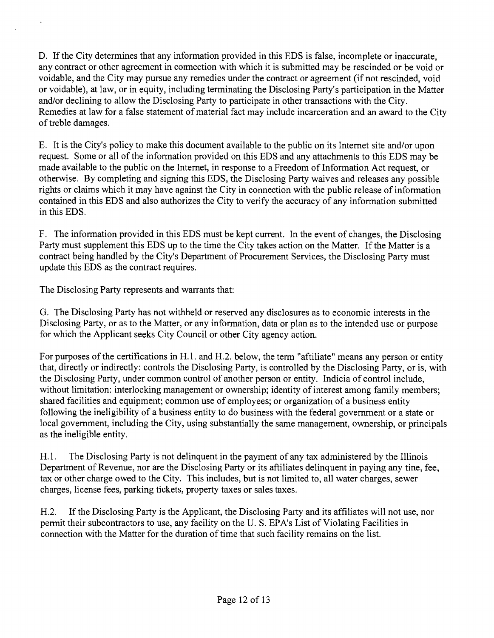D. If the City determines that any information provided in this EDS is false, incomplete or inaccurate, any contract or other agreement in cormection with which it is submitted may be rescinded or be void or voidable, and the City may pursue any remedies under the contract or agreement (if not rescinded, void or voidable), at law, or in equity, including terminating the Disclosing Party's participation in the Matter and/or declining to allow the Disclosing Party to participate in other transactions with the City. Remedies at law for a false statement of material fact may include incarceration and an award to the City of treble damages.

E. It is the City's policy to make this document available to the public on its Intemet site and/or upon request. Some or all of the information provided on this EDS and any attachments to this EDS may be made available to the public on the Intemet, in response to a Freedom of Information Act request, or otherwise. By completing and signing this EDS, the Disclosing Party waives and releases any possible rights or claims which it may have against the City in connection with the public release of information contained in this EDS and also authorizes the City to verify the accuracy of any information submitted in this EDS.

F. The information provided in this EDS must be kept current. In the event of changes, the Disclosing Party must supplement this EDS up to the time the City takes action on the Matter. If the Matter is a contract being handled by the City's Department of Procurement Services, the Disclosing Party must update this EDS as the contract requires.

The Disclosing Party represents and warrants that:

G. The Disclosing Party has not withheld or reserved any disclosures as to economic interests in the Disclosing Party, or as to the Matter, or any information, data or plan as to the intended use or purpose for which the Applicant seeks City Council or other City agency action.

For purposes of the certifications in H.1. and H.2. below, the term "aftiliate" means any person or entity that, directly or indirectly: controls the Disclosing Party, is controlled by the Disclosing Party, or is, with the Disclosing Party, under common control of another person or entity. Indicia of control include, without limitation: interlocking management or ownership; identity of interest among family members; shared facilities and equipment; common use of employees; or organization of a business entity following the ineligibility of a business entity to do business with the federal govemment or a state or local government, including the City, using substantially the same management, ownership, or principals as the ineligible entity.

H.1. The Disclosing Party is not delinquent in the payment of any tax administered by the Illinois Department of Revenue, nor are the Disclosing Party or its affiliates delinquent in paying any fine, fee, tax or other charge owed to the City. This includes, but is not limited to, all water charges, sewer charges, license fees, parking tickets, property taxes or sales taxes.

H.2. If the Disclosing Party is the Applicant, the Disclosing Party and its affiliates will not use, nor permit their subcontractors to use, any facility on the U. S. EPA's List of Violating Facilities in connection with the Matter for the duration of time that such facility remains on the list.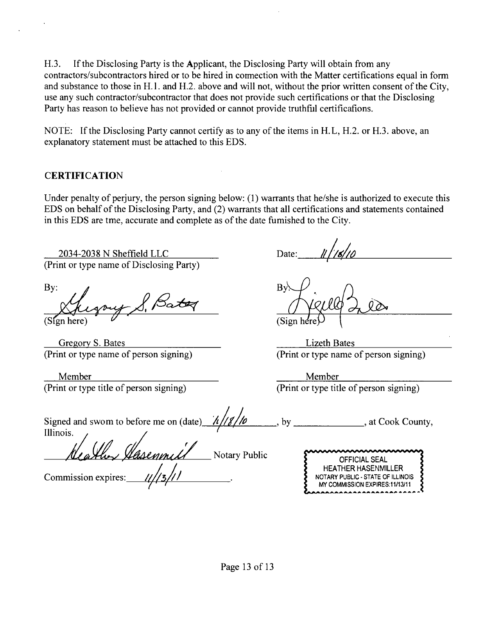H.3. If the Disclosing Party is the Applicant, the Disclosing Party will obtain from any contractors/subcontractors hired or to be hired in cormection with the Matter certifications equal in form and substance to those in H.l. and H.2. above and will not, without the prior written consent of the City, use any such contractor/subcontractor that does not provide such certifications or that the Disclosing Party has reason to believe has not provided or cannot provide truthfiil certificafions.

NOTE: If the Disclosing Party cannot certify as to any of the items in H.L, H.2. or H.3. above, an explanatory statement must be attached to this EDS.

### **CERTIFICATION**

Under penalty of perjury, the person signing below: (1) warrants that he/she is authorized to execute this EDS on behalf of the Disclosing Party, and (2) warrants that all certifications and statements contained in this EDS are tme, accurate and complete as of the date fumished to the City.

2034-2038 N Sheffield LLC (Print or type name of Disclosing Party)

By:

(Sign here)

Gregory S. Bates (Print or type name of person signing)

Member (Print or type title of person signing)

Date:

(Sign he

Lizeth Bates (Print or type name of person signing)

Member (Print or type title of person signing)

| Signed and swom to before me on (date) $\frac{\hbar}{\sqrt{8}}$ |  | , at Cook County, |
|-----------------------------------------------------------------|--|-------------------|
| Illinois.                                                       |  |                   |

Health Hasenmill Notary Public

Commission expires:  $\frac{1}{\sqrt{3}}$ 

| mmmmmmmm                          |  |
|-----------------------------------|--|
| <b>OFFICIAL SEAL</b>              |  |
| <b>HEATHER HASENMILLER</b>        |  |
| NOTARY PUBLIC - STATE OF ILLINOIS |  |
| MY COMMISSION EXPIRES:11/13/11    |  |
|                                   |  |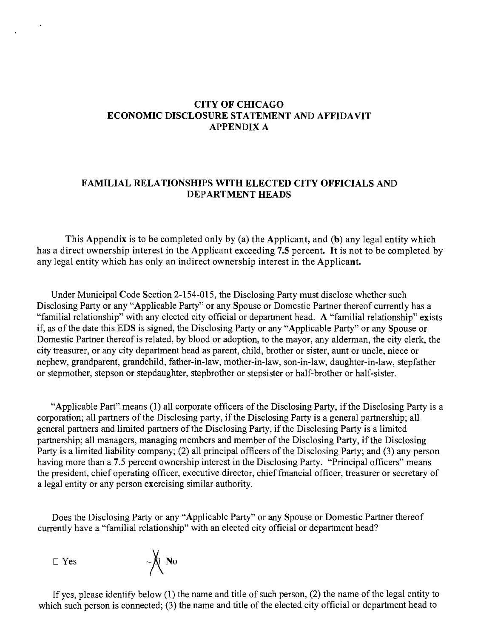### **CITY OF CHICAGO ECONOMIC DISCLOSURE STATEMENT AND AFFIDAVIT APPENDIX A**

### **FAMILIAL RELATIONSHIPS WITH ELECTED CITY OFFICIALS AND DEPARTMENT HEADS**

**This Appendix is to be completed only by (a) the Applicant, and (b) any legal entity which has a direct ownership interest in the Applicant exceeding 7.5 percent. It is not to be completed by any legal entity which has only an indirect ownership interest in the Applicant.** 

Under Municipal Code Section 2-154-015, the Disclosing Party must disclose whether such Disclosing Party or any "Applicable Party" or any Spouse or Domestic Partner thereof currently has a "familial relationship" with any elected city official or department head. A "familial relationship" exists if, as of the date this EDS is signed, the Disclosing Party or any "Applicable Party" or any Spouse or Domestic Partner thereof is related, by blood or adoption, to the mayor, any alderman, the city clerk, the city treasurer, or any city department head as parent, child, brother or sister, aunt or uncle, niece or nephew, grandparent, grandchild, father-in-law, mother-in-law, son-in-law, daughter-in-law, stepfather or stepmother, stepson or stepdaughter, stepbrother or stepsister or half-brother or half-sister.

"Applicable Part" means (1) all corporate officers of the Disclosing Party, if the Disclosing Party is a corporation; all partners of the Disclosing party, if the Disclosing Party is a general partnership; all general partners and limited partners of the Disclosing Party, if the Disclosing Party is a limited partnership; all managers, managing members and member of the Disclosing Party, if the Disclosing Party is a limited liability company; (2) all principal officers of the Disclosing Party; and (3) any person having more than a 7.5 percent ownership interest in the Disclosing Party. "Principal officers" means the president, chief operating officer, executive director, chief fmancial officer, treasurer or secretary of a legal entity or any person exercising similar authority.

Does the Disclosing Party or any "Applicable Party" or any Spouse or Domestic Partner thereof currently have a "familial relationship" with an elected city official or department head?



If yes, please identify below  $(1)$  the name and title of such person,  $(2)$  the name of the legal entity to which such person is connected; (3) the name and title of the elected city official or department head to